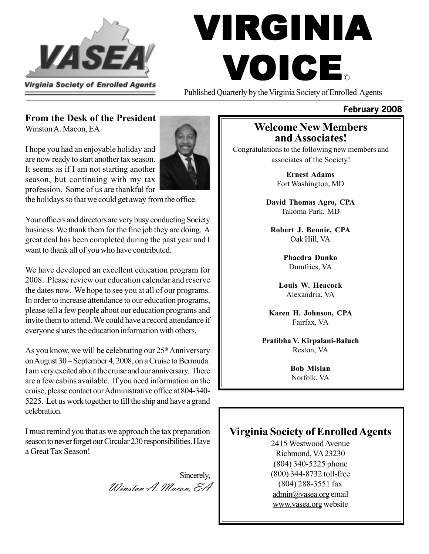

# VIRGINIA VOICE ©

Published Quarterly by the Virginia Society of Enrolled Agents

#### **From the Desk of the President**

Winston A. Macon, EA

I hope you had an enjoyable holiday and are now ready to start another tax season. It seems as if I am not starting another season, but continuing with my tax profession. Some of us are thankful for

the holidays so that we could get away from the office.

Your officers and directors are very busy conducting Society business. We thank them for the fine job they are doing. A great deal has been completed during the past year and I want to thank all of you who have contributed.

We have developed an excellent education program for 2008. Please review our education calendar and reserve the dates now. We hope to see you at all of our programs. In order to increase attendance to our education programs, please tell a few people about our education programs and invite them to attend. We could have a record attendance if everyone shares the education information with others.

As you know, we will be celebrating our  $25<sup>th</sup>$  Anniversary on August 30 – September 4, 2008, on a Cruise to Bermuda. I am very excited about the cruise and our anniversary. There are a few cabins available. If you need information on the cruise, please contact our Administrative office at 804-340- 5225. Let us work together to fill the ship and have a grand celebration.

I must remind you that as we approach the tax preparation season to never forget our Circular 230 responsibilities. Have a Great Tax Season!

Sincerely, Winston A. Macon, EA

#### **Welcome New Members and Associates!**

**February 2008**

Congratulations to the following new members and associates of the Society!

> **Ernest Adams** Fort Washington, MD

**David Thomas Agro, CPA** Takoma Park, MD

**Robert J. Bennie, CPA** Oak Hill, VA

> **Phaedra Dunko** Dumfries, VA

**Louis W. Heacock** Alexandria, VA

**Karen H. Johnson, CPA** Fairfax, VA

**Pratibha V. Kirpalani-Baluch** Reston, VA

> **Bob Mislan** Norfolk, VA

### **Virginia Society of Enrolled Agents**

2415 Westwood Avenue Richmond, VA 23230 (804) 340-5225 phone (800) 344-8732 toll-free (804) 288-3551 fax admin@vasea.org email www.vasea.org website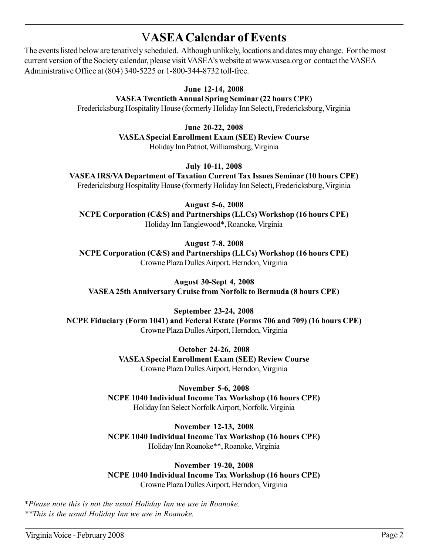# V**ASEA Calendar of Events**

The events listed below are tenatively scheduled. Although unlikely, locations and dates may change. For the most current version of the Society calendar, please visit VASEA's website at www.vasea.org or contact the VASEA Administrative Office at (804) 340-5225 or 1-800-344-8732 toll-free.

> **June 12-14, 2008 VASEA Twentieth Annual Spring Seminar (22 hours CPE)** Fredericksburg Hospitality House (formerly Holiday Inn Select), Fredericksburg, Virginia

J**une 20-22, 2008**

**VASEA Special Enrollment Exam (SEE) Review Course** Holiday Inn Patriot, Williamsburg, Virginia

#### **July 10-11, 2008**

**VASEA IRS/VA Department of Taxation Current Tax Issues Seminar (10 hours CPE)** Fredericksburg Hospitality House (formerly Holiday Inn Select), Fredericksburg, Virginia

**August 5-6, 2008 NCPE Corporation (C&S) and Partnerships (LLCs) Workshop (16 hours CPE)** Holiday Inn Tanglewood\*, Roanoke, Virginia

#### **August 7-8, 2008**

**NCPE Corporation (C&S) and Partnerships (LLCs) Workshop (16 hours CPE)** Crowne Plaza Dulles Airport, Herndon, Virginia

**August 30-Sept 4, 2008 VASEA 25th Anniversary Cruise from Norfolk to Bermuda (8 hours CPE)**

**September 23-24, 2008 NCPE Fiduciary (Form 1041) and Federal Estate (Forms 706 and 709) (16 hours CPE)** Crowne Plaza Dulles Airport, Herndon, Virginia

> **October 24-26, 2008 VASEA Special Enrollment Exam (SEE) Review Course** Crowne Plaza Dulles Airport, Herndon, Virginia

**November 5-6, 2008 NCPE 1040 Individual Income Tax Workshop (16 hours CPE)** Holiday Inn Select Norfolk Airport, Norfolk, Virginia

**November 12-13, 2008 NCPE 1040 Individual Income Tax Workshop (16 hours CPE)** Holiday Inn Roanoke\*\*, Roanoke, Virginia

**November 19-20, 2008 NCPE 1040 Individual Income Tax Workshop (16 hours CPE)** Crowne Plaza Dulles Airport, Herndon, Virginia

\**Please note this is not the usual Holiday Inn we use in Roanoke. \*\*This is the usual Holiday Inn we use in Roanoke.*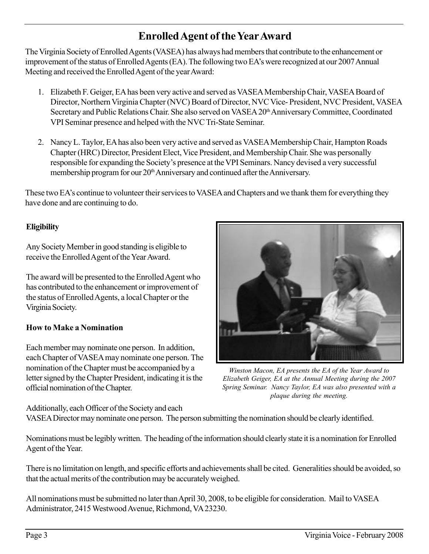# **Enrolled Agent of the Year Award**

The Virginia Society of Enrolled Agents (VASEA) has always had members that contribute to the enhancement or improvement of the status of Enrolled Agents (EA). The following two EA's were recognized at our 2007 Annual Meeting and received the Enrolled Agent of the year Award:

- 1. Elizabeth F. Geiger, EA has been very active and served as VASEA Membership Chair, VASEA Board of Director, Northern Virginia Chapter (NVC) Board of Director, NVC Vice- President, NVC President, VASEA Secretary and Public Relations Chair. She also served on VASEA 20<sup>th</sup> Anniversary Committee, Coordinated VPI Seminar presence and helped with the NVC Tri-State Seminar.
- 2. Nancy L. Taylor, EA has also been very active and served as VASEA Membership Chair, Hampton Roads Chapter (HRC) Director, President Elect, Vice President, and Membership Chair. She was personally responsible for expanding the Society's presence at the VPI Seminars. Nancy devised a very successful membership program for our 20<sup>th</sup> Anniversary and continued after the Anniversary.

These two EA's continue to volunteer their services to VASEA and Chapters and we thank them for everything they have done and are continuing to do.

#### **Eligibility**

Any Society Member in good standing is eligible to receive the Enrolled Agent of the Year Award.

The award will be presented to the Enrolled Agent who has contributed to the enhancement or improvement of the status of Enrolled Agents, a local Chapter or the Virginia Society.

#### **How to Make a Nomination**

Each member may nominate one person. In addition, each Chapter of VASEA may nominate one person. The nomination of the Chapter must be accompanied by a letter signed by the Chapter President, indicating it is the official nomination of the Chapter.



*Winston Macon, EA presents the EA of the Year Award to Elizabeth Geiger, EA at the Annual Meeting during the 2007 Spring Seminar. Nancy Taylor, EA was also presented with a plaque during the meeting.*

Additionally, each Officer of the Society and each VASEA Director may nominate one person. The person submitting the nomination should be clearly identified.

Nominations must be legibly written. The heading of the information should clearly state it is a nomination for Enrolled Agent of the Year.

There is no limitation on length, and specific efforts and achievements shall be cited. Generalities should be avoided, so that the actual merits of the contribution may be accurately weighed.

All nominations must be submitted no later than April 30, 2008, to be eligible for consideration. Mail to VASEA Administrator, 2415 Westwood Avenue, Richmond, VA 23230.